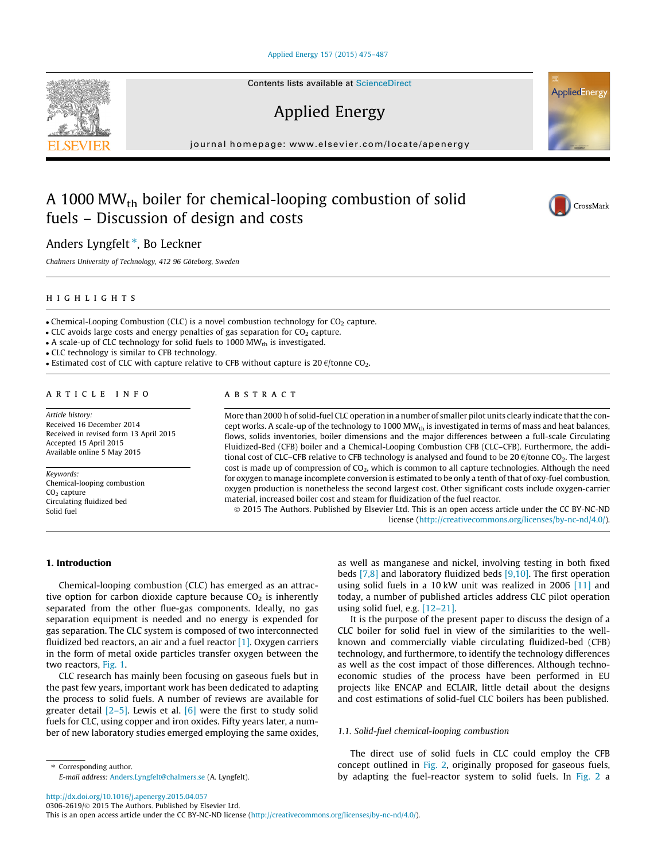#### [Applied Energy 157 \(2015\) 475–487](http://dx.doi.org/10.1016/j.apenergy.2015.04.057)

Contents lists available at [ScienceDirect](http://www.sciencedirect.com/science/journal/03062619)

# Applied Energy

journal homepage: [www.elsevier.com/locate/apenergy](http://www.elsevier.com/locate/apenergy)

# A 1000 MWth boiler for chemical-looping combustion of solid fuels – Discussion of design and costs

# Anders Lyngfelt\*, Bo Leckner

Chalmers University of Technology, 412 96 Göteborg, Sweden

# highlights

• Chemical-Looping Combustion (CLC) is a novel combustion technology for  $CO<sub>2</sub>$  capture.

 $\bullet$  CLC avoids large costs and energy penalties of gas separation for CO $_2$  capture.

• A scale-up of CLC technology for solid fuels to 1000 MW $_{\rm th}$  is investigated.

- CLC technology is similar to CFB technology.

• Estimated cost of CLC with capture relative to CFB without capture is 20  $\varepsilon$ /tonne CO<sub>2</sub>.

# article info

Article history: Received 16 December 2014 Received in revised form 13 April 2015 Accepted 15 April 2015 Available online 5 May 2015

Keywords: Chemical-looping combustion CO<sub>2</sub> capture Circulating fluidized bed Solid fuel

# **ABSTRACT**

More than 2000 h of solid-fuel CLC operation in a number of smaller pilot units clearly indicate that the concept works. A scale-up of the technology to 1000 MW<sub>th</sub> is investigated in terms of mass and heat balances, flows, solids inventories, boiler dimensions and the major differences between a full-scale Circulating Fluidized-Bed (CFB) boiler and a Chemical-Looping Combustion CFB (CLC–CFB). Furthermore, the additional cost of CLC–CFB relative to CFB technology is analysed and found to be 20  $\epsilon$ /tonne CO<sub>2</sub>. The largest cost is made up of compression of  $CO<sub>2</sub>$ , which is common to all capture technologies. Although the need for oxygen to manage incomplete conversion is estimated to be only a tenth of that of oxy-fuel combustion, oxygen production is nonetheless the second largest cost. Other significant costs include oxygen-carrier material, increased boiler cost and steam for fluidization of the fuel reactor.

© 2015 The Authors. Published by Elsevier Ltd. This is an open access article under the CC BY-NC-ND license (<http://creativecommons.org/licenses/by-nc-nd/4.0/>).

## 1. Introduction

Chemical-looping combustion (CLC) has emerged as an attractive option for carbon dioxide capture because  $CO<sub>2</sub>$  is inherently separated from the other flue-gas components. Ideally, no gas separation equipment is needed and no energy is expended for gas separation. The CLC system is composed of two interconnected fluidized bed reactors, an air and a fuel reactor  $[1]$ . Oxygen carriers in the form of metal oxide particles transfer oxygen between the two reactors, [Fig. 1](#page-1-0).

CLC research has mainly been focusing on gaseous fuels but in the past few years, important work has been dedicated to adapting the process to solid fuels. A number of reviews are available for greater detail  $[2-5]$ . Lewis et al. [\[6\]](#page-12-0) were the first to study solid fuels for CLC, using copper and iron oxides. Fifty years later, a number of new laboratory studies emerged employing the same oxides, as well as manganese and nickel, involving testing in both fixed beds [\[7,8\]](#page-12-0) and laboratory fluidized beds [\[9,10\].](#page-12-0) The first operation using solid fuels in a 10 kW unit was realized in 2006 [\[11\]](#page-12-0) and today, a number of published articles address CLC pilot operation using solid fuel, e.g. [\[12–21\]](#page-12-0).

It is the purpose of the present paper to discuss the design of a CLC boiler for solid fuel in view of the similarities to the wellknown and commercially viable circulating fluidized-bed (CFB) technology, and furthermore, to identify the technology differences as well as the cost impact of those differences. Although technoeconomic studies of the process have been performed in EU projects like ENCAP and ECLAIR, little detail about the designs and cost estimations of solid-fuel CLC boilers has been published.

## 1.1. Solid-fuel chemical-looping combustion

The direct use of solid fuels in CLC could employ the CFB concept outlined in [Fig. 2,](#page-1-0) originally proposed for gaseous fuels, by adapting the fuel-reactor system to solid fuels. In [Fig. 2](#page-1-0) a

<http://dx.doi.org/10.1016/j.apenergy.2015.04.057>

⇑ Corresponding author.

0306-2619/© 2015 The Authors. Published by Elsevier Ltd.

E-mail address: [Anders.Lyngfelt@chalmers.se](mailto:Anders.Lyngfelt@chalmers.se) (A. Lyngfelt).

This is an open access article under the CC BY-NC-ND license ([http://creativecommons.org/licenses/by-nc-nd/4.0/\)](http://creativecommons.org/licenses/by-nc-nd/4.0/).





**AppliedEnergy**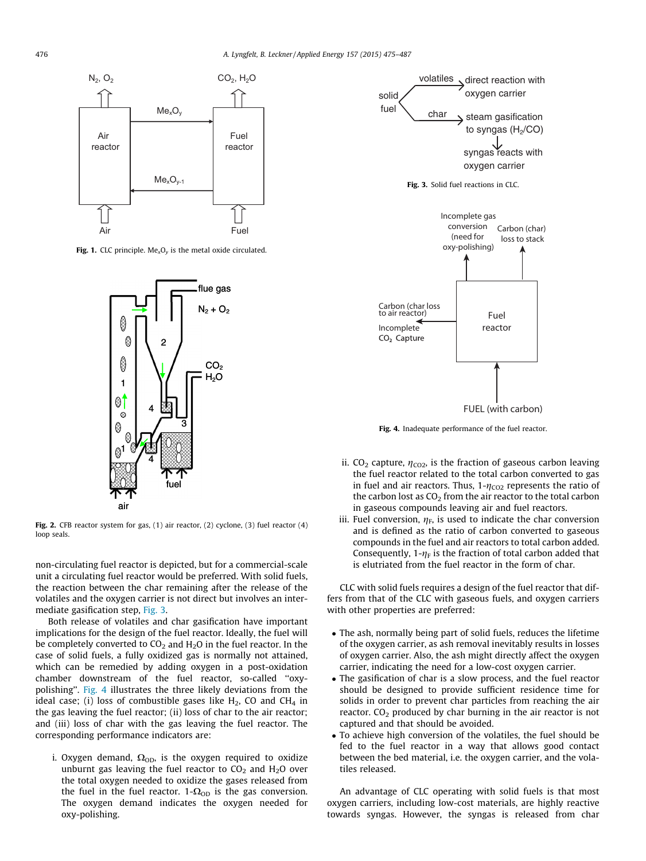<span id="page-1-0"></span>

Fig. 1. CLC principle.  $Me<sub>x</sub>O<sub>y</sub>$  is the metal oxide circulated.



Fig. 2. CFB reactor system for gas, (1) air reactor, (2) cyclone, (3) fuel reactor (4) loop seals.

non-circulating fuel reactor is depicted, but for a commercial-scale unit a circulating fuel reactor would be preferred. With solid fuels, the reaction between the char remaining after the release of the volatiles and the oxygen carrier is not direct but involves an intermediate gasification step, Fig. 3.

Both release of volatiles and char gasification have important implications for the design of the fuel reactor. Ideally, the fuel will be completely converted to  $CO<sub>2</sub>$  and  $H<sub>2</sub>O$  in the fuel reactor. In the case of solid fuels, a fully oxidized gas is normally not attained, which can be remedied by adding oxygen in a post-oxidation chamber downstream of the fuel reactor, so-called ''oxypolishing''. Fig. 4 illustrates the three likely deviations from the ideal case; (i) loss of combustible gases like  $H_2$ , CO and CH<sub>4</sub> in the gas leaving the fuel reactor; (ii) loss of char to the air reactor; and (iii) loss of char with the gas leaving the fuel reactor. The corresponding performance indicators are:

i. Oxygen demand,  $\Omega_{OD}$ , is the oxygen required to oxidize unburnt gas leaving the fuel reactor to  $CO<sub>2</sub>$  and  $H<sub>2</sub>O$  over the total oxygen needed to oxidize the gases released from the fuel in the fuel reactor.  $1-\Omega_{OD}$  is the gas conversion. The oxygen demand indicates the oxygen needed for oxy-polishing.



Fig. 4. Inadequate performance of the fuel reactor.

- ii. CO<sub>2</sub> capture,  $\eta_{CO2}$ , is the fraction of gaseous carbon leaving the fuel reactor related to the total carbon converted to gas in fuel and air reactors. Thus,  $1-\eta_{CO2}$  represents the ratio of the carbon lost as  $CO<sub>2</sub>$  from the air reactor to the total carbon in gaseous compounds leaving air and fuel reactors.
- iii. Fuel conversion,  $\eta_F$ , is used to indicate the char conversion and is defined as the ratio of carbon converted to gaseous compounds in the fuel and air reactors to total carbon added. Consequently,  $1-\eta_F$  is the fraction of total carbon added that is elutriated from the fuel reactor in the form of char.

CLC with solid fuels requires a design of the fuel reactor that differs from that of the CLC with gaseous fuels, and oxygen carriers with other properties are preferred:

- The ash, normally being part of solid fuels, reduces the lifetime of the oxygen carrier, as ash removal inevitably results in losses of oxygen carrier. Also, the ash might directly affect the oxygen carrier, indicating the need for a low-cost oxygen carrier.
- The gasification of char is a slow process, and the fuel reactor should be designed to provide sufficient residence time for solids in order to prevent char particles from reaching the air reactor.  $CO<sub>2</sub>$  produced by char burning in the air reactor is not captured and that should be avoided.
- To achieve high conversion of the volatiles, the fuel should be fed to the fuel reactor in a way that allows good contact between the bed material, i.e. the oxygen carrier, and the volatiles released.

An advantage of CLC operating with solid fuels is that most oxygen carriers, including low-cost materials, are highly reactive towards syngas. However, the syngas is released from char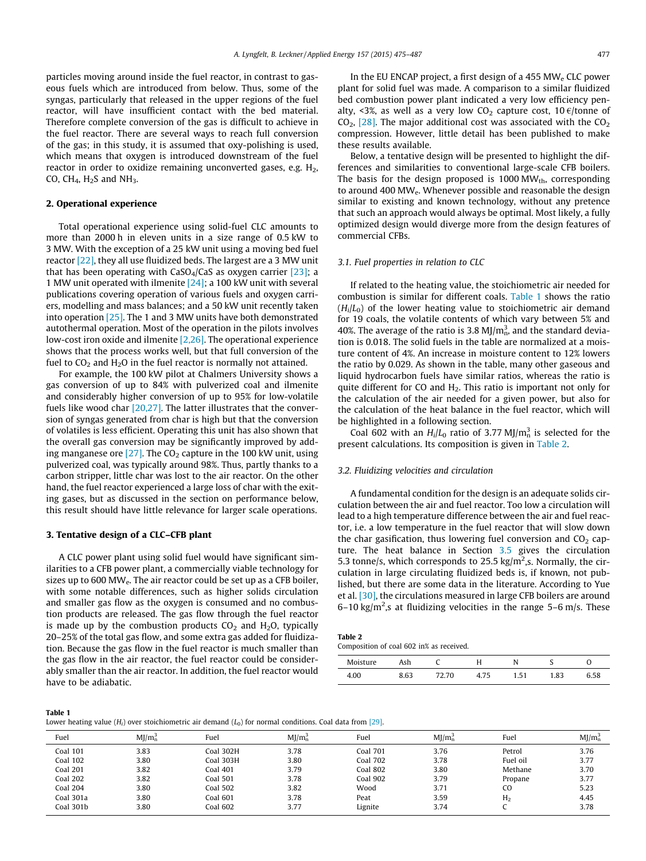<span id="page-2-0"></span>particles moving around inside the fuel reactor, in contrast to gaseous fuels which are introduced from below. Thus, some of the syngas, particularly that released in the upper regions of the fuel reactor, will have insufficient contact with the bed material. Therefore complete conversion of the gas is difficult to achieve in the fuel reactor. There are several ways to reach full conversion of the gas; in this study, it is assumed that oxy-polishing is used, which means that oxygen is introduced downstream of the fuel reactor in order to oxidize remaining unconverted gases, e.g.  $H_2$ , CO, CH<sub>4</sub>, H<sub>2</sub>S and NH<sub>3</sub>.

## 2. Operational experience

Total operational experience using solid-fuel CLC amounts to more than 2000 h in eleven units in a size range of 0.5 kW to 3 MW. With the exception of a 25 kW unit using a moving bed fuel reactor [\[22\],](#page-12-0) they all use fluidized beds. The largest are a 3 MW unit that has been operating with  $CaSO_4/CaS$  as oxygen carrier [\[23\]](#page-12-0); a 1 MW unit operated with ilmenite [\[24\]](#page-12-0); a 100 kW unit with several publications covering operation of various fuels and oxygen carriers, modelling and mass balances; and a 50 kW unit recently taken into operation [\[25\]](#page-12-0). The 1 and 3 MW units have both demonstrated autothermal operation. Most of the operation in the pilots involves low-cost iron oxide and ilmenite [\[2,26\]](#page-12-0). The operational experience shows that the process works well, but that full conversion of the fuel to  $CO<sub>2</sub>$  and  $H<sub>2</sub>O$  in the fuel reactor is normally not attained.

For example, the 100 kW pilot at Chalmers University shows a gas conversion of up to 84% with pulverized coal and ilmenite and considerably higher conversion of up to 95% for low-volatile fuels like wood char [\[20,27\]](#page-12-0). The latter illustrates that the conversion of syngas generated from char is high but that the conversion of volatiles is less efficient. Operating this unit has also shown that the overall gas conversion may be significantly improved by adding manganese ore  $[27]$ . The CO<sub>2</sub> capture in the 100 kW unit, using pulverized coal, was typically around 98%. Thus, partly thanks to a carbon stripper, little char was lost to the air reactor. On the other hand, the fuel reactor experienced a large loss of char with the exiting gases, but as discussed in the section on performance below, this result should have little relevance for larger scale operations.

#### 3. Tentative design of a CLC–CFB plant

A CLC power plant using solid fuel would have significant similarities to a CFB power plant, a commercially viable technology for sizes up to 600 MWe. The air reactor could be set up as a CFB boiler, with some notable differences, such as higher solids circulation and smaller gas flow as the oxygen is consumed and no combustion products are released. The gas flow through the fuel reactor is made up by the combustion products  $CO<sub>2</sub>$  and  $H<sub>2</sub>O$ , typically 20–25% of the total gas flow, and some extra gas added for fluidization. Because the gas flow in the fuel reactor is much smaller than the gas flow in the air reactor, the fuel reactor could be considerably smaller than the air reactor. In addition, the fuel reactor would have to be adiabatic.

In the EU ENCAP project, a first design of a 455 MW<sub>e</sub> CLC power plant for solid fuel was made. A comparison to a similar fluidized bed combustion power plant indicated a very low efficiency penalty, <3%, as well as a very low  $CO<sub>2</sub>$  capture cost, 10  $\epsilon$ /tonne of  $CO<sub>2</sub>$ , [\[28\]](#page-12-0). The major additional cost was associated with the  $CO<sub>2</sub>$ compression. However, little detail has been published to make these results available.

Below, a tentative design will be presented to highlight the differences and similarities to conventional large-scale CFB boilers. The basis for the design proposed is  $1000 \text{ MW}_{\text{th}}$ , corresponding to around 400 MWe. Whenever possible and reasonable the design similar to existing and known technology, without any pretence that such an approach would always be optimal. Most likely, a fully optimized design would diverge more from the design features of commercial CFBs.

#### 3.1. Fuel properties in relation to CLC

If related to the heating value, the stoichiometric air needed for combustion is similar for different coals. Table 1 shows the ratio  $(H<sub>i</sub>/L<sub>0</sub>)$  of the lower heating value to stoichiometric air demand for 19 coals, the volatile contents of which vary between 5% and 40%. The average of the ratio is 3.8 MJ/ $m_n^3$  and the standard deviation is 0.018. The solid fuels in the table are normalized at a moisture content of 4%. An increase in moisture content to 12% lowers the ratio by 0.029. As shown in the table, many other gaseous and liquid hydrocarbon fuels have similar ratios, whereas the ratio is quite different for CO and  $H<sub>2</sub>$ . This ratio is important not only for the calculation of the air needed for a given power, but also for the calculation of the heat balance in the fuel reactor, which will be highlighted in a following section.

Coal 602 with an  $H_i/L_0$  ratio of 3.77 MJ/ $m_n^3$  is selected for the present calculations. Its composition is given in Table 2.

#### 3.2. Fluidizing velocities and circulation

A fundamental condition for the design is an adequate solids circulation between the air and fuel reactor. Too low a circulation will lead to a high temperature difference between the air and fuel reactor, i.e. a low temperature in the fuel reactor that will slow down the char gasification, thus lowering fuel conversion and  $CO<sub>2</sub>$  capture. The heat balance in Section [3.5](#page-5-0) gives the circulation 5.3 tonne/s, which corresponds to 25.5 kg/m<sup>2</sup>,s. Normally, the circulation in large circulating fluidized beds is, if known, not published, but there are some data in the literature. According to Yue et al. [\[30\],](#page-12-0) the circulations measured in large CFB boilers are around  $6-10$  kg/m<sup>2</sup>,s at fluidizing velocities in the range  $5-6$  m/s. These

| Table 2 |  |  |
|---------|--|--|
|         |  |  |

| Composition of coal 602 in% as received. |  |  |  |  |
|------------------------------------------|--|--|--|--|
|                                          |  |  |  |  |

| nisture |   |      |                          | N              | . .        |      |
|---------|---|------|--------------------------|----------------|------------|------|
| 4.00    | c | 2.70 | $\overline{1}$<br>ᅮ. / ㄴ | $E^+$<br>1.J I | ດລ<br>1.83 | ง.วช |

Table 1

| Lower heating value ( $H_i$ ) over stoichiometric air demand ( $L_0$ ) for normal conditions. Coal data from [29]. |  |  |  |  |  |
|--------------------------------------------------------------------------------------------------------------------|--|--|--|--|--|
|--------------------------------------------------------------------------------------------------------------------|--|--|--|--|--|

| Fuel            | $M$ [/m <sub>n</sub> <sup>3</sup> | Fuel            | $M$ $/mn3$ | Fuel            | $M$ [/m <sub>n</sub> <sup>3</sup> | Fuel           | $MJ/m_n^3$ |
|-----------------|-----------------------------------|-----------------|------------|-----------------|-----------------------------------|----------------|------------|
| <b>Coal 101</b> | 3.83                              | Coal 302H       | 3.78       | <b>Coal 701</b> | 3.76                              | Petrol         | 3.76       |
| Coal 102        | 3.80                              | Coal 303H       | 3.80       | Coal 702        | 3.78                              | Fuel oil       | 3.77       |
| Coal 201        | 3.82                              | Coal 401        | 3.79       | Coal 802        | 3.80                              | Methane        | 3.70       |
| Coal 202        | 3.82                              | <b>Coal 501</b> | 3.78       | Coal 902        | 3.79                              | Propane        | 3.77       |
| Coal 204        | 3.80                              | <b>Coal 502</b> | 3.82       | Wood            | 3.71                              | CO.            | 5.23       |
| Coal 301a       | 3.80                              | Coal 601        | 3.78       | Peat            | 3.59                              | H <sub>2</sub> | 4.45       |
| Coal 301b       | 3.80                              | <b>Coal 602</b> | 3.77       | Lignite         | 3.74                              |                | 3.78       |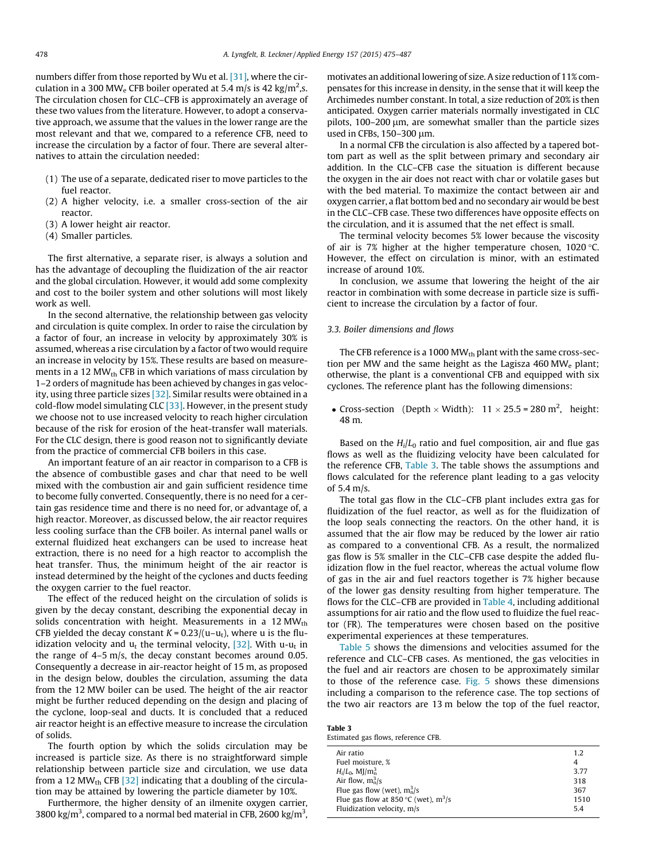<span id="page-3-0"></span>numbers differ from those reported by Wu et al. [\[31\],](#page-12-0) where the circulation in a 300 MW<sub>e</sub> CFB boiler operated at 5.4 m/s is 42 kg/m<sup>2</sup>,s. The circulation chosen for CLC–CFB is approximately an average of these two values from the literature. However, to adopt a conservative approach, we assume that the values in the lower range are the most relevant and that we, compared to a reference CFB, need to increase the circulation by a factor of four. There are several alternatives to attain the circulation needed:

- (1) The use of a separate, dedicated riser to move particles to the fuel reactor.
- (2) A higher velocity, i.e. a smaller cross-section of the air reactor.
- (3) A lower height air reactor.
- (4) Smaller particles.

The first alternative, a separate riser, is always a solution and has the advantage of decoupling the fluidization of the air reactor and the global circulation. However, it would add some complexity and cost to the boiler system and other solutions will most likely work as well.

In the second alternative, the relationship between gas velocity and circulation is quite complex. In order to raise the circulation by a factor of four, an increase in velocity by approximately 30% is assumed, whereas a rise circulation by a factor of two would require an increase in velocity by 15%. These results are based on measurements in a 12  $MW_{th}$  CFB in which variations of mass circulation by 1–2 orders of magnitude has been achieved by changes in gas velocity, using three particle sizes [\[32\].](#page-12-0) Similar results were obtained in a cold-flow model simulating CLC  $[33]$ . However, in the present study we choose not to use increased velocity to reach higher circulation because of the risk for erosion of the heat-transfer wall materials. For the CLC design, there is good reason not to significantly deviate from the practice of commercial CFB boilers in this case.

An important feature of an air reactor in comparison to a CFB is the absence of combustible gases and char that need to be well mixed with the combustion air and gain sufficient residence time to become fully converted. Consequently, there is no need for a certain gas residence time and there is no need for, or advantage of, a high reactor. Moreover, as discussed below, the air reactor requires less cooling surface than the CFB boiler. As internal panel walls or external fluidized heat exchangers can be used to increase heat extraction, there is no need for a high reactor to accomplish the heat transfer. Thus, the minimum height of the air reactor is instead determined by the height of the cyclones and ducts feeding the oxygen carrier to the fuel reactor.

The effect of the reduced height on the circulation of solids is given by the decay constant, describing the exponential decay in solids concentration with height. Measurements in a  $12 MW_{th}$ CFB yielded the decay constant  $K = 0.23/(u-u_t)$ , where u is the fluidization velocity and  $u_t$  the terminal velocity, [\[32\].](#page-12-0) With u-u<sub>t</sub> in the range of 4–5 m/s, the decay constant becomes around 0.05. Consequently a decrease in air-reactor height of 15 m, as proposed in the design below, doubles the circulation, assuming the data from the 12 MW boiler can be used. The height of the air reactor might be further reduced depending on the design and placing of the cyclone, loop-seal and ducts. It is concluded that a reduced air reactor height is an effective measure to increase the circulation of solids.

The fourth option by which the solids circulation may be increased is particle size. As there is no straightforward simple relationship between particle size and circulation, we use data from a 12 MW<sub>th</sub> CFB  $[32]$  indicating that a doubling of the circulation may be attained by lowering the particle diameter by 10%.

Furthermore, the higher density of an ilmenite oxygen carrier, 3800 kg/m<sup>3</sup>, compared to a normal bed material in CFB, 2600 kg/m<sup>3</sup>,

motivates an additional lowering of size. A size reduction of 11% compensates for this increase in density, in the sense that it will keep the Archimedes number constant. In total, a size reduction of 20% is then anticipated. Oxygen carrier materials normally investigated in CLC pilots, 100-200 µm, are somewhat smaller than the particle sizes used in CFBs, 150-300 µm.

In a normal CFB the circulation is also affected by a tapered bottom part as well as the split between primary and secondary air addition. In the CLC–CFB case the situation is different because the oxygen in the air does not react with char or volatile gases but with the bed material. To maximize the contact between air and oxygen carrier, a flat bottom bed and no secondary air would be best in the CLC–CFB case. These two differences have opposite effects on the circulation, and it is assumed that the net effect is small.

The terminal velocity becomes 5% lower because the viscosity of air is 7% higher at the higher temperature chosen,  $1020$  °C. However, the effect on circulation is minor, with an estimated increase of around 10%.

In conclusion, we assume that lowering the height of the air reactor in combination with some decrease in particle size is sufficient to increase the circulation by a factor of four.

## 3.3. Boiler dimensions and flows

The CFB reference is a 1000 MW $_{\text{th}}$  plant with the same cross-section per MW and the same height as the Lagisza 460 MW<sub>e</sub> plant; otherwise, the plant is a conventional CFB and equipped with six cyclones. The reference plant has the following dimensions:

• Cross-section (Depth  $\times$  Width): 11  $\times$  25.5 = 280 m<sup>2</sup>, height: 48 m.

Based on the  $H_i/L_0$  ratio and fuel composition, air and flue gas flows as well as the fluidizing velocity have been calculated for the reference CFB, Table 3. The table shows the assumptions and flows calculated for the reference plant leading to a gas velocity of 5.4 m/s.

The total gas flow in the CLC–CFB plant includes extra gas for fluidization of the fuel reactor, as well as for the fluidization of the loop seals connecting the reactors. On the other hand, it is assumed that the air flow may be reduced by the lower air ratio as compared to a conventional CFB. As a result, the normalized gas flow is 5% smaller in the CLC–CFB case despite the added fluidization flow in the fuel reactor, whereas the actual volume flow of gas in the air and fuel reactors together is 7% higher because of the lower gas density resulting from higher temperature. The flows for the CLC–CFB are provided in [Table 4,](#page-4-0) including additional assumptions for air ratio and the flow used to fluidize the fuel reactor (FR). The temperatures were chosen based on the positive experimental experiences at these temperatures.

[Table 5](#page-4-0) shows the dimensions and velocities assumed for the reference and CLC–CFB cases. As mentioned, the gas velocities in the fuel and air reactors are chosen to be approximately similar to those of the reference case. [Fig. 5](#page-4-0) shows these dimensions including a comparison to the reference case. The top sections of the two air reactors are 13 m below the top of the fuel reactor,

Table 3 Estimated gas flows, reference CFB.

| Air ratio                              | 1.2  |
|----------------------------------------|------|
| Fuel moisture, %                       | 4    |
| $H_i/L_0$ , MJ/m <sub>2</sub>          | 3.77 |
| Air flow, $m_n^3/s$                    | 318  |
| Flue gas flow (wet), $m_n^3/s$         | 367  |
| Flue gas flow at 850 °C (wet), $m^3/s$ | 1510 |
| Fluidization velocity, m/s             | 5.4  |
|                                        |      |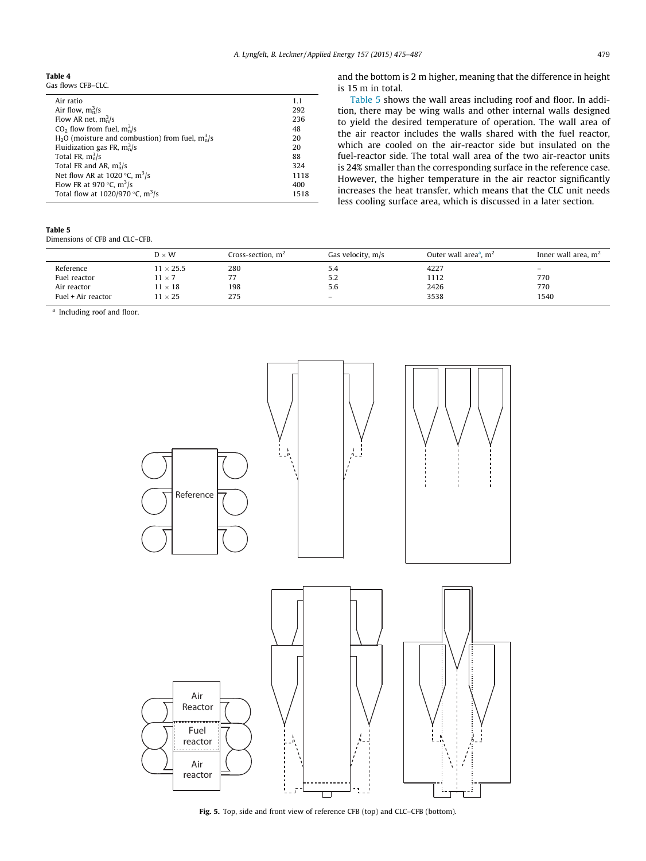<span id="page-4-0"></span>Table 4

| Air ratio                                             | 1.1  |
|-------------------------------------------------------|------|
| Air flow, $m_n^3/s$                                   | 292  |
| Flow AR net, $m_n^3/s$                                | 236  |
| $CO2$ flow from fuel, $m_n^3/s$                       | 48   |
| $H_2O$ (moisture and combustion) from fuel, $m_n^3/s$ | 20   |
| Fluidization gas FR, $m_n^3$ /s                       | 20   |
| Total FR, $m_n^3$ /s                                  | 88   |
| Total FR and AR, $m_n^3/s$                            | 324  |
| Net flow AR at 1020 °C, $\rm m^3/s$                   | 1118 |
| Flow FR at 970 °C, $m^3/s$                            | 400  |
| Total flow at 1020/970 °C, $\text{m}^3\text{/s}$      | 1518 |
|                                                       |      |

and the bottom is 2 m higher, meaning that the difference in height is 15 m in total.

Table 5 shows the wall areas including roof and floor. In addition, there may be wing walls and other internal walls designed to yield the desired temperature of operation. The wall area of the air reactor includes the walls shared with the fuel reactor, which are cooled on the air-reactor side but insulated on the fuel-reactor side. The total wall area of the two air-reactor units is 24% smaller than the corresponding surface in the reference case. However, the higher temperature in the air reactor significantly increases the heat transfer, which means that the CLC unit needs less cooling surface area, which is discussed in a later section.

## Table 5

Dimensions of CFB and CLC–CFB.

|                    | $D \times W$    | Cross-section, $m^2$ | Gas velocity, m/s | Outer wall area <sup>a</sup> , $m2$ | Inner wall area, $m2$    |
|--------------------|-----------------|----------------------|-------------------|-------------------------------------|--------------------------|
| Reference          | $1 \times 25.5$ | 280                  | 5.4               | 4227                                | $\overline{\phantom{0}}$ |
| Fuel reactor       | $1 \times 7$    | 77                   | 5.2               | 1112                                | 770                      |
| Air reactor        | $1 \times 18$   | 198                  | 5.6               | 2426                                | 770                      |
| Fuel + Air reactor | $1 \times 25$   | 275                  | $\qquad \qquad$   | 3538                                | 1540                     |

<sup>a</sup> Including roof and floor.



Fig. 5. Top, side and front view of reference CFB (top) and CLC–CFB (bottom).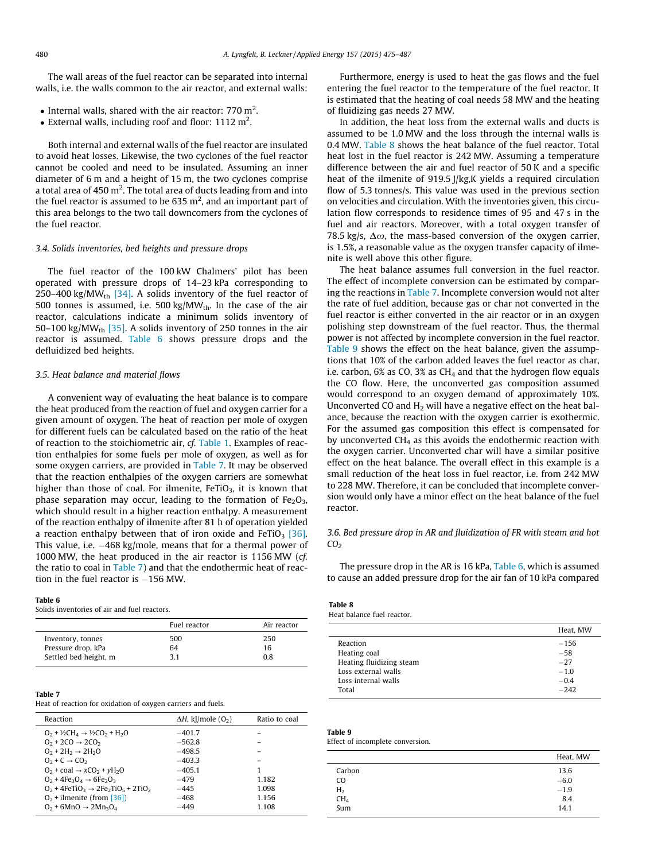<span id="page-5-0"></span>The wall areas of the fuel reactor can be separated into internal walls, i.e. the walls common to the air reactor, and external walls:

- Internal walls, shared with the air reactor:  $770 \text{ m}^2$ .
- External walls, including roof and floor:  $1112 \text{ m}^2$ .

Both internal and external walls of the fuel reactor are insulated to avoid heat losses. Likewise, the two cyclones of the fuel reactor cannot be cooled and need to be insulated. Assuming an inner diameter of 6 m and a height of 15 m, the two cyclones comprise a total area of 450 m $^2$ . The total area of ducts leading from and into the fuel reactor is assumed to be 635 m<sup>2</sup>, and an important part of this area belongs to the two tall downcomers from the cyclones of the fuel reactor.

## 3.4. Solids inventories, bed heights and pressure drops

The fuel reactor of the 100 kW Chalmers' pilot has been operated with pressure drops of 14–23 kPa corresponding to 250–400 kg/MW<sub>th</sub> [\[34\].](#page-12-0) A solids inventory of the fuel reactor of 500 tonnes is assumed, i.e. 500 kg/MWth. In the case of the air reactor, calculations indicate a minimum solids inventory of 50–100 kg/MW<sub>th</sub> [\[35\]](#page-12-0). A solids inventory of 250 tonnes in the air reactor is assumed. Table 6 shows pressure drops and the defluidized bed heights.

#### 3.5. Heat balance and material flows

A convenient way of evaluating the heat balance is to compare the heat produced from the reaction of fuel and oxygen carrier for a given amount of oxygen. The heat of reaction per mole of oxygen for different fuels can be calculated based on the ratio of the heat of reaction to the stoichiometric air, cf. [Table 1](#page-2-0). Examples of reaction enthalpies for some fuels per mole of oxygen, as well as for some oxygen carriers, are provided in Table 7. It may be observed that the reaction enthalpies of the oxygen carriers are somewhat higher than those of coal. For ilmenite,  $FeTiO<sub>3</sub>$ , it is known that phase separation may occur, leading to the formation of  $Fe<sub>2</sub>O<sub>3</sub>$ , which should result in a higher reaction enthalpy. A measurement of the reaction enthalpy of ilmenite after 81 h of operation yielded a reaction enthalpy between that of iron oxide and  $F$ eTiO<sub>3</sub> [\[36\].](#page-12-0) This value, i.e.  $-468$  kg/mole, means that for a thermal power of 1000 MW, the heat produced in the air reactor is 1156 MW (cf. the ratio to coal in Table 7) and that the endothermic heat of reaction in the fuel reactor is  $-156$  MW.

#### Table 6

Solids inventories of air and fuel reactors.

|                       | Fuel reactor | Air reactor |
|-----------------------|--------------|-------------|
| Inventory, tonnes     | 500          | 250         |
| Pressure drop, kPa    | 64           | 16          |
| Settled bed height, m | 3.1          | 0.8         |

#### Table 7

Heat of reaction for oxidation of oxygen carriers and fuels.

| Reaction                                                            | $\Delta H$ , kJ/mole (O <sub>2</sub> ) | Ratio to coal |
|---------------------------------------------------------------------|----------------------------------------|---------------|
| $0_2 + \frac{1}{2}CH_4 \rightarrow \frac{1}{2}CO_2 + H_2O$          | $-401.7$                               |               |
| $0_2 + 2CO \rightarrow 2CO_2$                                       | $-562.8$                               |               |
| $0_2 + 2H_2 \rightarrow 2H_2O$                                      | $-498.5$                               |               |
| $02 + C \rightarrow CO2$                                            | $-403.3$                               |               |
| $O_2$ + coal $\rightarrow$ xCO <sub>2</sub> + yH <sub>2</sub> O     | $-405.1$                               | 1             |
| $Q_2$ + 4Fe <sub>3</sub> $Q_4$ $\rightarrow$ 6Fe <sub>2</sub> $Q_3$ | $-479$                                 | 1.182         |
| $Q_2 + 4FeTiQ_3 \rightarrow 2Fe_2TiQ_5 + 2TiQ_2$                    | $-445$                                 | 1.098         |
| $02$ + ilmenite (from [36])                                         | -468                                   | 1.156         |
| $Q_2$ + 6MnO $\rightarrow$ 2Mn <sub>3</sub> O <sub>4</sub>          | $-449$                                 | 1.108         |

Furthermore, energy is used to heat the gas flows and the fuel entering the fuel reactor to the temperature of the fuel reactor. It is estimated that the heating of coal needs 58 MW and the heating of fluidizing gas needs 27 MW.

In addition, the heat loss from the external walls and ducts is assumed to be 1.0 MW and the loss through the internal walls is 0.4 MW. Table 8 shows the heat balance of the fuel reactor. Total heat lost in the fuel reactor is 242 MW. Assuming a temperature difference between the air and fuel reactor of 50 K and a specific heat of the ilmenite of 919.5 J/kg,K yields a required circulation flow of 5.3 tonnes/s. This value was used in the previous section on velocities and circulation. With the inventories given, this circulation flow corresponds to residence times of 95 and 47 s in the fuel and air reactors. Moreover, with a total oxygen transfer of 78.5 kg/s,  $\Delta \omega$ , the mass-based conversion of the oxygen carrier, is 1.5%, a reasonable value as the oxygen transfer capacity of ilmenite is well above this other figure.

The heat balance assumes full conversion in the fuel reactor. The effect of incomplete conversion can be estimated by comparing the reactions in Table 7. Incomplete conversion would not alter the rate of fuel addition, because gas or char not converted in the fuel reactor is either converted in the air reactor or in an oxygen polishing step downstream of the fuel reactor. Thus, the thermal power is not affected by incomplete conversion in the fuel reactor. Table 9 shows the effect on the heat balance, given the assumptions that 10% of the carbon added leaves the fuel reactor as char, i.e. carbon,  $6\%$  as CO,  $3\%$  as CH<sub>4</sub> and that the hydrogen flow equals the CO flow. Here, the unconverted gas composition assumed would correspond to an oxygen demand of approximately 10%. Unconverted CO and  $H_2$  will have a negative effect on the heat balance, because the reaction with the oxygen carrier is exothermic. For the assumed gas composition this effect is compensated for by unconverted CH4 as this avoids the endothermic reaction with the oxygen carrier. Unconverted char will have a similar positive effect on the heat balance. The overall effect in this example is a small reduction of the heat loss in fuel reactor, i.e. from 242 MW to 228 MW. Therefore, it can be concluded that incomplete conversion would only have a minor effect on the heat balance of the fuel reactor.

# 3.6. Bed pressure drop in AR and fluidization of FR with steam and hot  $CO<sub>2</sub>$

The pressure drop in the AR is 16 kPa, Table 6, which is assumed to cause an added pressure drop for the air fan of 10 kPa compared

#### Table 8 Heat balance fuel reactor.

|                          | Heat, MW |
|--------------------------|----------|
| Reaction                 | $-156$   |
| Heating coal             | $-58$    |
| Heating fluidizing steam | $-27$    |
| Loss external walls      | $-1.0$   |
| Loss internal walls      | $-0.4$   |
| Total                    | $-242$   |

# Table 9

Effect of incomplete conversion.

|                | Heat, MW |
|----------------|----------|
| Carbon         | 13.6     |
| C <sub>O</sub> | $-6.0$   |
| H <sub>2</sub> | $-1.9$   |
| $\rm CH_4$     | 8.4      |
| Sum            | 14.1     |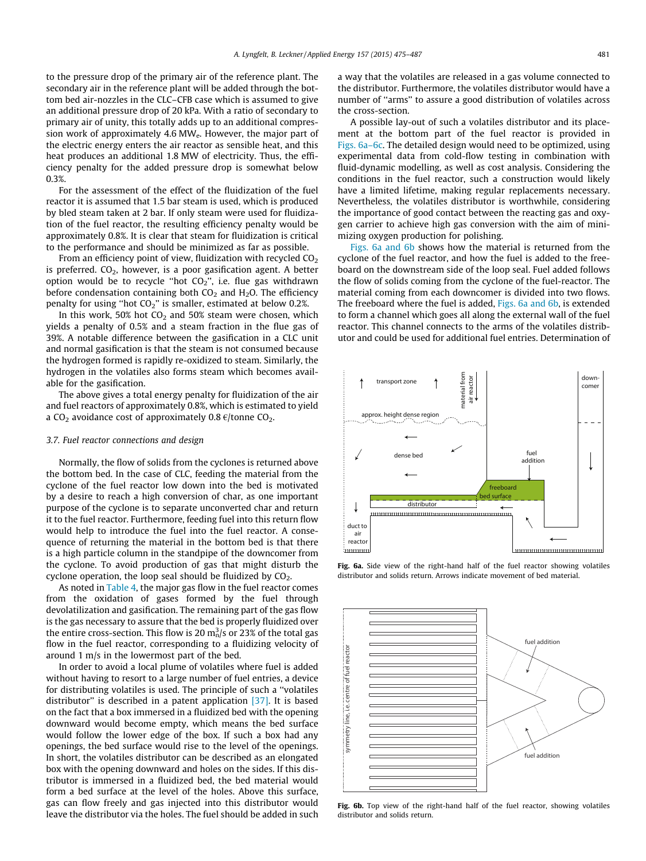to the pressure drop of the primary air of the reference plant. The secondary air in the reference plant will be added through the bottom bed air-nozzles in the CLC–CFB case which is assumed to give an additional pressure drop of 20 kPa. With a ratio of secondary to primary air of unity, this totally adds up to an additional compression work of approximately 4.6 MWe. However, the major part of the electric energy enters the air reactor as sensible heat, and this heat produces an additional 1.8 MW of electricity. Thus, the efficiency penalty for the added pressure drop is somewhat below 0.3%.

For the assessment of the effect of the fluidization of the fuel reactor it is assumed that 1.5 bar steam is used, which is produced by bled steam taken at 2 bar. If only steam were used for fluidization of the fuel reactor, the resulting efficiency penalty would be approximately 0.8%. It is clear that steam for fluidization is critical to the performance and should be minimized as far as possible.

From an efficiency point of view, fluidization with recycled  $CO<sub>2</sub>$ is preferred.  $CO<sub>2</sub>$ , however, is a poor gasification agent. A better option would be to recycle "hot  $CO<sub>2</sub>$ ", i.e. flue gas withdrawn before condensation containing both  $CO<sub>2</sub>$  and  $H<sub>2</sub>O$ . The efficiency penalty for using ''hot CO2'' is smaller, estimated at below 0.2%.

In this work, 50% hot  $CO<sub>2</sub>$  and 50% steam were chosen, which yields a penalty of 0.5% and a steam fraction in the flue gas of 39%. A notable difference between the gasification in a CLC unit and normal gasification is that the steam is not consumed because the hydrogen formed is rapidly re-oxidized to steam. Similarly, the hydrogen in the volatiles also forms steam which becomes available for the gasification.

The above gives a total energy penalty for fluidization of the air and fuel reactors of approximately 0.8%, which is estimated to yield a CO<sub>2</sub> avoidance cost of approximately 0.8  $\epsilon$ /tonne CO<sub>2</sub>.

#### 3.7. Fuel reactor connections and design

Normally, the flow of solids from the cyclones is returned above the bottom bed. In the case of CLC, feeding the material from the cyclone of the fuel reactor low down into the bed is motivated by a desire to reach a high conversion of char, as one important purpose of the cyclone is to separate unconverted char and return it to the fuel reactor. Furthermore, feeding fuel into this return flow would help to introduce the fuel into the fuel reactor. A consequence of returning the material in the bottom bed is that there is a high particle column in the standpipe of the downcomer from the cyclone. To avoid production of gas that might disturb the cyclone operation, the loop seal should be fluidized by  $CO<sub>2</sub>$ .

As noted in [Table 4](#page-4-0), the major gas flow in the fuel reactor comes from the oxidation of gases formed by the fuel through devolatilization and gasification. The remaining part of the gas flow is the gas necessary to assure that the bed is properly fluidized over the entire cross-section. This flow is 20  $\mathrm{m}_\mathrm{n}^3/\mathrm{s}$  or 23% of the total gas flow in the fuel reactor, corresponding to a fluidizing velocity of around 1 m/s in the lowermost part of the bed.

In order to avoid a local plume of volatiles where fuel is added without having to resort to a large number of fuel entries, a device for distributing volatiles is used. The principle of such a ''volatiles distributor" is described in a patent application [\[37\].](#page-12-0) It is based on the fact that a box immersed in a fluidized bed with the opening downward would become empty, which means the bed surface would follow the lower edge of the box. If such a box had any openings, the bed surface would rise to the level of the openings. In short, the volatiles distributor can be described as an elongated box with the opening downward and holes on the sides. If this distributor is immersed in a fluidized bed, the bed material would form a bed surface at the level of the holes. Above this surface, gas can flow freely and gas injected into this distributor would leave the distributor via the holes. The fuel should be added in such a way that the volatiles are released in a gas volume connected to the distributor. Furthermore, the volatiles distributor would have a number of ''arms'' to assure a good distribution of volatiles across the cross-section.

A possible lay-out of such a volatiles distributor and its placement at the bottom part of the fuel reactor is provided in Figs. 6a–6c. The detailed design would need to be optimized, using experimental data from cold-flow testing in combination with fluid-dynamic modelling, as well as cost analysis. Considering the conditions in the fuel reactor, such a construction would likely have a limited lifetime, making regular replacements necessary. Nevertheless, the volatiles distributor is worthwhile, considering the importance of good contact between the reacting gas and oxygen carrier to achieve high gas conversion with the aim of minimizing oxygen production for polishing.

Figs. 6a and 6b shows how the material is returned from the cyclone of the fuel reactor, and how the fuel is added to the freeboard on the downstream side of the loop seal. Fuel added follows the flow of solids coming from the cyclone of the fuel-reactor. The material coming from each downcomer is divided into two flows. The freeboard where the fuel is added, Figs. 6a and 6b, is extended to form a channel which goes all along the external wall of the fuel reactor. This channel connects to the arms of the volatiles distributor and could be used for additional fuel entries. Determination of



Fig. 6a. Side view of the right-hand half of the fuel reactor showing volatiles distributor and solids return. Arrows indicate movement of bed material.



Fig. 6b. Top view of the right-hand half of the fuel reactor, showing volatiles distributor and solids return.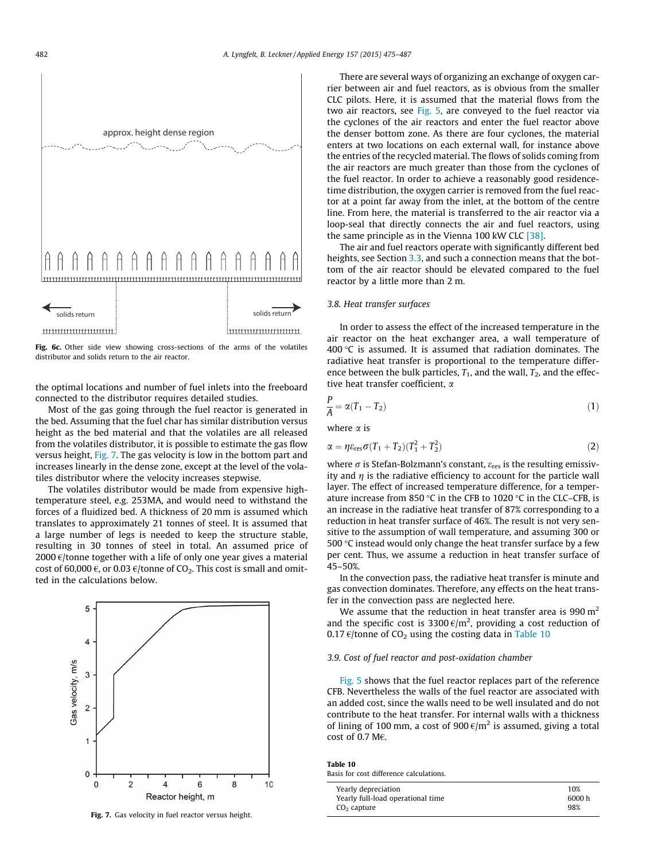<span id="page-7-0"></span>

Fig. 6c. Other side view showing cross-sections of the arms of the volatiles distributor and solids return to the air reactor.

the optimal locations and number of fuel inlets into the freeboard connected to the distributor requires detailed studies.

Most of the gas going through the fuel reactor is generated in the bed. Assuming that the fuel char has similar distribution versus height as the bed material and that the volatiles are all released from the volatiles distributor, it is possible to estimate the gas flow versus height, Fig. 7. The gas velocity is low in the bottom part and increases linearly in the dense zone, except at the level of the volatiles distributor where the velocity increases stepwise.

The volatiles distributor would be made from expensive hightemperature steel, e.g. 253MA, and would need to withstand the forces of a fluidized bed. A thickness of 20 mm is assumed which translates to approximately 21 tonnes of steel. It is assumed that a large number of legs is needed to keep the structure stable, resulting in 30 tonnes of steel in total. An assumed price of 2000  $\epsilon$ /tonne together with a life of only one year gives a material cost of 60,000  $\epsilon$ , or 0.03  $\epsilon$ /tonne of CO<sub>2</sub>. This cost is small and omitted in the calculations below.



Fig. 7. Gas velocity in fuel reactor versus height.

There are several ways of organizing an exchange of oxygen carrier between air and fuel reactors, as is obvious from the smaller CLC pilots. Here, it is assumed that the material flows from the two air reactors, see [Fig. 5](#page-4-0), are conveyed to the fuel reactor via the cyclones of the air reactors and enter the fuel reactor above the denser bottom zone. As there are four cyclones, the material enters at two locations on each external wall, for instance above the entries of the recycled material. The flows of solids coming from the air reactors are much greater than those from the cyclones of the fuel reactor. In order to achieve a reasonably good residencetime distribution, the oxygen carrier is removed from the fuel reactor at a point far away from the inlet, at the bottom of the centre line. From here, the material is transferred to the air reactor via a loop-seal that directly connects the air and fuel reactors, using the same principle as in the Vienna 100 kW CLC [\[38\]](#page-12-0).

The air and fuel reactors operate with significantly different bed heights, see Section [3.3,](#page-3-0) and such a connection means that the bottom of the air reactor should be elevated compared to the fuel reactor by a little more than 2 m.

## 3.8. Heat transfer surfaces

In order to assess the effect of the increased temperature in the air reactor on the heat exchanger area, a wall temperature of 400 $\degree$ C is assumed. It is assumed that radiation dominates. The radiative heat transfer is proportional to the temperature difference between the bulk particles,  $T_1$ , and the wall,  $T_2$ , and the effective heat transfer coefficient,  $\alpha$ 

$$
\frac{r}{A} = \alpha (T_1 - T_2) \tag{1}
$$

where  $\alpha$  is

P

$$
\alpha = \eta \varepsilon_{\text{res}} \sigma (T_1 + T_2)(T_1^2 + T_2^2) \tag{2}
$$

where  $\sigma$  is Stefan-Bolzmann's constant,  $\varepsilon_{res}$  is the resulting emissivity and  $\eta$  is the radiative efficiency to account for the particle wall layer. The effect of increased temperature difference, for a temperature increase from 850 °C in the CFB to 1020 °C in the CLC–CFB, is an increase in the radiative heat transfer of 87% corresponding to a reduction in heat transfer surface of 46%. The result is not very sensitive to the assumption of wall temperature, and assuming 300 or 500  $\degree$ C instead would only change the heat transfer surface by a few per cent. Thus, we assume a reduction in heat transfer surface of 45–50%.

In the convection pass, the radiative heat transfer is minute and gas convection dominates. Therefore, any effects on the heat transfer in the convection pass are neglected here.

We assume that the reduction in heat transfer area is 990  $m<sup>2</sup>$ and the specific cost is 3300 $\epsilon/m^2$ , providing a cost reduction of 0.17  $\varepsilon$ /tonne of CO<sub>2</sub> using the costing data in Table 10

## 3.9. Cost of fuel reactor and post-oxidation chamber

[Fig. 5](#page-4-0) shows that the fuel reactor replaces part of the reference CFB. Nevertheless the walls of the fuel reactor are associated with an added cost, since the walls need to be well insulated and do not contribute to the heat transfer. For internal walls with a thickness of lining of 100 mm, a cost of 900  $\varepsilon/m^2$  is assumed, giving a total cost of 0.7 M€.

Table 10 Basis for cost difference calculations.

| Yearly depreciation               | 10%    |
|-----------------------------------|--------|
| Yearly full-load operational time | 6000 h |
| $CO2$ capture                     | 98%    |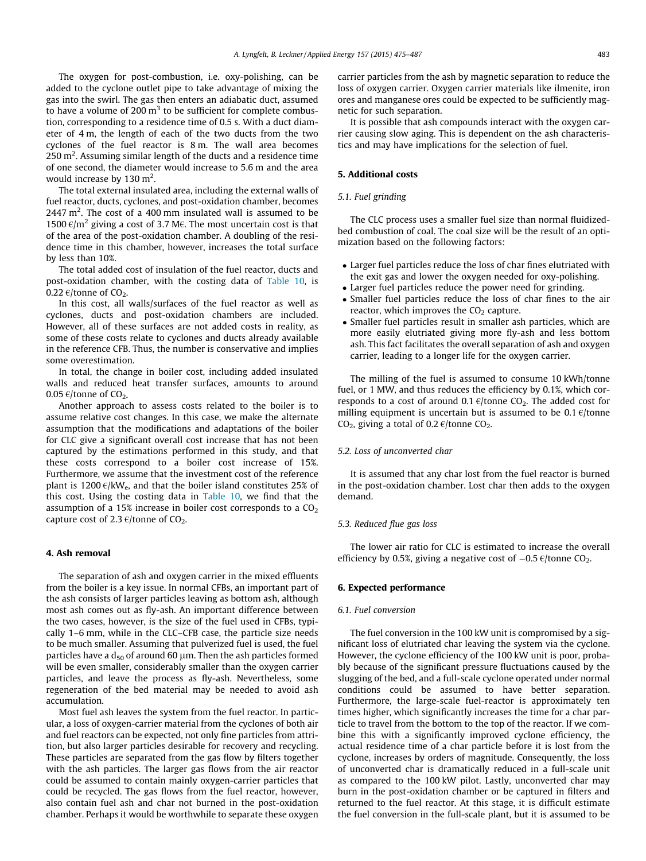The oxygen for post-combustion, i.e. oxy-polishing, can be added to the cyclone outlet pipe to take advantage of mixing the gas into the swirl. The gas then enters an adiabatic duct, assumed to have a volume of 200  $m<sup>3</sup>$  to be sufficient for complete combustion, corresponding to a residence time of 0.5 s. With a duct diameter of 4 m, the length of each of the two ducts from the two cyclones of the fuel reactor is 8 m. The wall area becomes  $250$  m<sup>2</sup>. Assuming similar length of the ducts and a residence time of one second, the diameter would increase to 5.6 m and the area would increase by  $130 \text{ m}^2$ .

The total external insulated area, including the external walls of fuel reactor, ducts, cyclones, and post-oxidation chamber, becomes 2447 m<sup>2</sup>. The cost of a 400 mm insulated wall is assumed to be 1500  $\epsilon$ /m<sup>2</sup> giving a cost of 3.7 M€. The most uncertain cost is that of the area of the post-oxidation chamber. A doubling of the residence time in this chamber, however, increases the total surface by less than 10%.

The total added cost of insulation of the fuel reactor, ducts and post-oxidation chamber, with the costing data of [Table 10,](#page-7-0) is 0.22  $\varepsilon$ /tonne of CO<sub>2</sub>.

In this cost, all walls/surfaces of the fuel reactor as well as cyclones, ducts and post-oxidation chambers are included. However, all of these surfaces are not added costs in reality, as some of these costs relate to cyclones and ducts already available in the reference CFB. Thus, the number is conservative and implies some overestimation.

In total, the change in boiler cost, including added insulated walls and reduced heat transfer surfaces, amounts to around 0.05  $\epsilon$ /tonne of CO<sub>2</sub>.

Another approach to assess costs related to the boiler is to assume relative cost changes. In this case, we make the alternate assumption that the modifications and adaptations of the boiler for CLC give a significant overall cost increase that has not been captured by the estimations performed in this study, and that these costs correspond to a boiler cost increase of 15%. Furthermore, we assume that the investment cost of the reference plant is 1200  $\varepsilon$ /kW<sub>e</sub>, and that the boiler island constitutes 25% of this cost. Using the costing data in [Table 10](#page-7-0), we find that the assumption of a 15% increase in boiler cost corresponds to a  $CO<sub>2</sub>$ capture cost of 2.3  $\epsilon$ /tonne of CO<sub>2</sub>.

# 4. Ash removal

The separation of ash and oxygen carrier in the mixed effluents from the boiler is a key issue. In normal CFBs, an important part of the ash consists of larger particles leaving as bottom ash, although most ash comes out as fly-ash. An important difference between the two cases, however, is the size of the fuel used in CFBs, typically 1–6 mm, while in the CLC–CFB case, the particle size needs to be much smaller. Assuming that pulverized fuel is used, the fuel particles have a  $d_{50}$  of around 60  $\mu$ m. Then the ash particles formed will be even smaller, considerably smaller than the oxygen carrier particles, and leave the process as fly-ash. Nevertheless, some regeneration of the bed material may be needed to avoid ash accumulation.

Most fuel ash leaves the system from the fuel reactor. In particular, a loss of oxygen-carrier material from the cyclones of both air and fuel reactors can be expected, not only fine particles from attrition, but also larger particles desirable for recovery and recycling. These particles are separated from the gas flow by filters together with the ash particles. The larger gas flows from the air reactor could be assumed to contain mainly oxygen-carrier particles that could be recycled. The gas flows from the fuel reactor, however, also contain fuel ash and char not burned in the post-oxidation chamber. Perhaps it would be worthwhile to separate these oxygen

carrier particles from the ash by magnetic separation to reduce the loss of oxygen carrier. Oxygen carrier materials like ilmenite, iron ores and manganese ores could be expected to be sufficiently magnetic for such separation.

It is possible that ash compounds interact with the oxygen carrier causing slow aging. This is dependent on the ash characteristics and may have implications for the selection of fuel.

#### 5. Additional costs

#### 5.1. Fuel grinding

The CLC process uses a smaller fuel size than normal fluidizedbed combustion of coal. The coal size will be the result of an optimization based on the following factors:

- Larger fuel particles reduce the loss of char fines elutriated with the exit gas and lower the oxygen needed for oxy-polishing.
- Larger fuel particles reduce the power need for grinding.
- Smaller fuel particles reduce the loss of char fines to the air reactor, which improves the  $CO<sub>2</sub>$  capture.
- Smaller fuel particles result in smaller ash particles, which are more easily elutriated giving more fly-ash and less bottom ash. This fact facilitates the overall separation of ash and oxygen carrier, leading to a longer life for the oxygen carrier.

The milling of the fuel is assumed to consume 10 kWh/tonne fuel, or 1 MW, and thus reduces the efficiency by 0.1%, which corresponds to a cost of around 0.1  $\epsilon$ /tonne CO<sub>2</sub>. The added cost for milling equipment is uncertain but is assumed to be 0.1  $\epsilon$ /tonne CO<sub>2</sub>, giving a total of 0.2  $\epsilon$ /tonne CO<sub>2</sub>.

#### 5.2. Loss of unconverted char

It is assumed that any char lost from the fuel reactor is burned in the post-oxidation chamber. Lost char then adds to the oxygen demand.

#### 5.3. Reduced flue gas loss

The lower air ratio for CLC is estimated to increase the overall efficiency by 0.5%, giving a negative cost of  $-0.5 \frac{\epsilon}{\tan 20}$ .

## 6. Expected performance

#### 6.1. Fuel conversion

The fuel conversion in the 100 kW unit is compromised by a significant loss of elutriated char leaving the system via the cyclone. However, the cyclone efficiency of the 100 kW unit is poor, probably because of the significant pressure fluctuations caused by the slugging of the bed, and a full-scale cyclone operated under normal conditions could be assumed to have better separation. Furthermore, the large-scale fuel-reactor is approximately ten times higher, which significantly increases the time for a char particle to travel from the bottom to the top of the reactor. If we combine this with a significantly improved cyclone efficiency, the actual residence time of a char particle before it is lost from the cyclone, increases by orders of magnitude. Consequently, the loss of unconverted char is dramatically reduced in a full-scale unit as compared to the 100 kW pilot. Lastly, unconverted char may burn in the post-oxidation chamber or be captured in filters and returned to the fuel reactor. At this stage, it is difficult estimate the fuel conversion in the full-scale plant, but it is assumed to be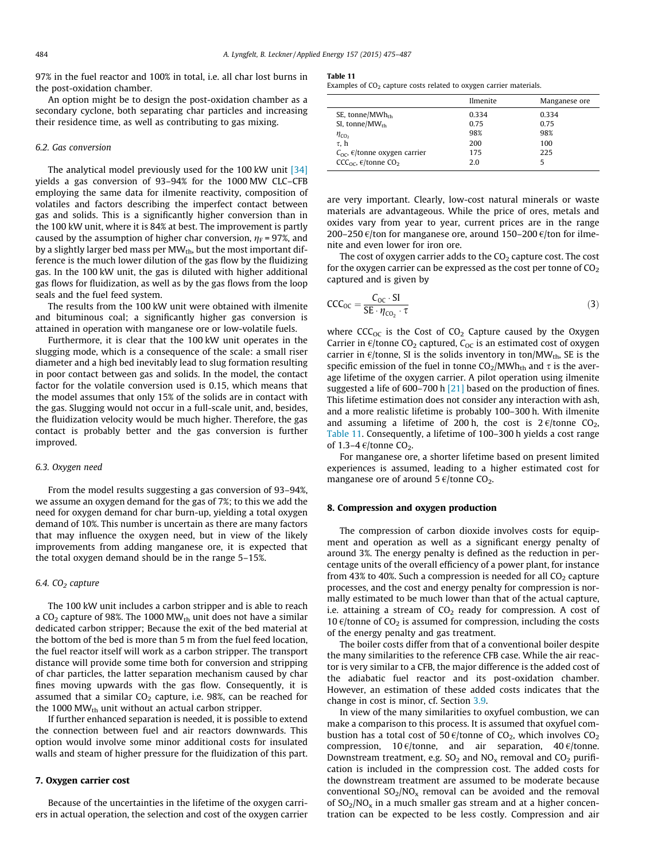97% in the fuel reactor and 100% in total, i.e. all char lost burns in the post-oxidation chamber.

An option might be to design the post-oxidation chamber as a secondary cyclone, both separating char particles and increasing their residence time, as well as contributing to gas mixing.

#### 6.2. Gas conversion

The analytical model previously used for the 100 kW unit [\[34\]](#page-12-0) yields a gas conversion of 93–94% for the 1000 MW CLC–CFB employing the same data for ilmenite reactivity, composition of volatiles and factors describing the imperfect contact between gas and solids. This is a significantly higher conversion than in the 100 kW unit, where it is 84% at best. The improvement is partly caused by the assumption of higher char conversion,  $\eta_F$  = 97%, and by a slightly larger bed mass per  $MW_{th}$ , but the most important difference is the much lower dilution of the gas flow by the fluidizing gas. In the 100 kW unit, the gas is diluted with higher additional gas flows for fluidization, as well as by the gas flows from the loop seals and the fuel feed system.

The results from the 100 kW unit were obtained with ilmenite and bituminous coal; a significantly higher gas conversion is attained in operation with manganese ore or low-volatile fuels.

Furthermore, it is clear that the 100 kW unit operates in the slugging mode, which is a consequence of the scale: a small riser diameter and a high bed inevitably lead to slug formation resulting in poor contact between gas and solids. In the model, the contact factor for the volatile conversion used is 0.15, which means that the model assumes that only 15% of the solids are in contact with the gas. Slugging would not occur in a full-scale unit, and, besides, the fluidization velocity would be much higher. Therefore, the gas contact is probably better and the gas conversion is further improved.

#### 6.3. Oxygen need

From the model results suggesting a gas conversion of 93–94%, we assume an oxygen demand for the gas of 7%; to this we add the need for oxygen demand for char burn-up, yielding a total oxygen demand of 10%. This number is uncertain as there are many factors that may influence the oxygen need, but in view of the likely improvements from adding manganese ore, it is expected that the total oxygen demand should be in the range 5–15%.

### 6.4.  $CO<sub>2</sub>$  capture

The 100 kW unit includes a carbon stripper and is able to reach a CO<sub>2</sub> capture of 98%. The 1000 MW $_{\rm th}$  unit does not have a similar dedicated carbon stripper; Because the exit of the bed material at the bottom of the bed is more than 5 m from the fuel feed location, the fuel reactor itself will work as a carbon stripper. The transport distance will provide some time both for conversion and stripping of char particles, the latter separation mechanism caused by char fines moving upwards with the gas flow. Consequently, it is assumed that a similar  $CO<sub>2</sub>$  capture, i.e. 98%, can be reached for the 1000 M $W_{th}$  unit without an actual carbon stripper.

If further enhanced separation is needed, it is possible to extend the connection between fuel and air reactors downwards. This option would involve some minor additional costs for insulated walls and steam of higher pressure for the fluidization of this part.

## 7. Oxygen carrier cost

Because of the uncertainties in the lifetime of the oxygen carriers in actual operation, the selection and cost of the oxygen carrier

#### Table 11

Examples of  $CO<sub>2</sub>$  capture costs related to oxygen carrier materials.

|                                                       | Ilmenite | Manganese ore |  |
|-------------------------------------------------------|----------|---------------|--|
| SE, tonne/ $MWh_{th}$                                 | 0.334    | 0.334         |  |
| SI, tonne/ $MW_{th}$                                  | 0.75     | 0.75          |  |
| $\eta_{\text{CO}_2}$                                  | 98%      | 98%           |  |
| τ. h                                                  | 200      | 100           |  |
| $C_{\Omega C}$ , $\epsilon$ /tonne oxygen carrier     | 175      | 225           |  |
| CCC <sub>oc</sub> , $\epsilon$ /tonne CO <sub>2</sub> | 2.0      | 5             |  |

are very important. Clearly, low-cost natural minerals or waste materials are advantageous. While the price of ores, metals and oxides vary from year to year, current prices are in the range 200–250  $\epsilon$ /ton for manganese ore, around 150–200  $\epsilon$ /ton for ilmenite and even lower for iron ore.

The cost of oxygen carrier adds to the  $CO<sub>2</sub>$  capture cost. The cost for the oxygen carrier can be expressed as the cost per tonne of  $CO<sub>2</sub>$ captured and is given by

$$
CCC_{OC} = \frac{C_{OC} \cdot SI}{SE \cdot \eta_{CO_2} \cdot \tau}
$$
 (3)

where  $CCC_{OC}$  is the Cost of  $CO<sub>2</sub>$  Capture caused by the Oxygen Carrier in  $\epsilon$ /tonne CO<sub>2</sub> captured, C<sub>OC</sub> is an estimated cost of oxygen carrier in  $\epsilon$ /tonne, SI is the solids inventory in ton/MW<sub>th</sub>, SE is the specific emission of the fuel in tonne  $CO<sub>2</sub>/MWh<sub>th</sub>$  and  $\tau$  is the average lifetime of the oxygen carrier. A pilot operation using ilmenite suggested a life of 600–700 h [\[21\]](#page-12-0) based on the production of fines. This lifetime estimation does not consider any interaction with ash, and a more realistic lifetime is probably 100–300 h. With ilmenite and assuming a lifetime of 200 h, the cost is  $2 \frac{\epsilon}{t}$  tonne CO<sub>2</sub>, Table 11. Consequently, a lifetime of 100–300 h yields a cost range of 1.3-4  $\varepsilon$ /tonne CO<sub>2</sub>.

For manganese ore, a shorter lifetime based on present limited experiences is assumed, leading to a higher estimated cost for manganese ore of around  $5 \text{ }\epsilon$ /tonne CO<sub>2</sub>.

#### 8. Compression and oxygen production

The compression of carbon dioxide involves costs for equipment and operation as well as a significant energy penalty of around 3%. The energy penalty is defined as the reduction in percentage units of the overall efficiency of a power plant, for instance from 43% to 40%. Such a compression is needed for all  $CO<sub>2</sub>$  capture processes, and the cost and energy penalty for compression is normally estimated to be much lower than that of the actual capture, i.e. attaining a stream of  $CO<sub>2</sub>$  ready for compression. A cost of 10  $\varepsilon$ /tonne of CO<sub>2</sub> is assumed for compression, including the costs of the energy penalty and gas treatment.

The boiler costs differ from that of a conventional boiler despite the many similarities to the reference CFB case. While the air reactor is very similar to a CFB, the major difference is the added cost of the adiabatic fuel reactor and its post-oxidation chamber. However, an estimation of these added costs indicates that the change in cost is minor, cf. Section [3.9](#page-7-0).

In view of the many similarities to oxyfuel combustion, we can make a comparison to this process. It is assumed that oxyfuel combustion has a total cost of 50  $\epsilon$ /tonne of CO<sub>2</sub>, which involves CO<sub>2</sub> compression, 10  $\varepsilon$ /tonne, and air separation, 40  $\varepsilon$ /tonne. Downstream treatment, e.g.  $SO_2$  and  $NO_x$  removal and  $CO_2$  purification is included in the compression cost. The added costs for the downstream treatment are assumed to be moderate because conventional  $SO_2/NO_x$  removal can be avoided and the removal of  $SO_2/NO_x$  in a much smaller gas stream and at a higher concentration can be expected to be less costly. Compression and air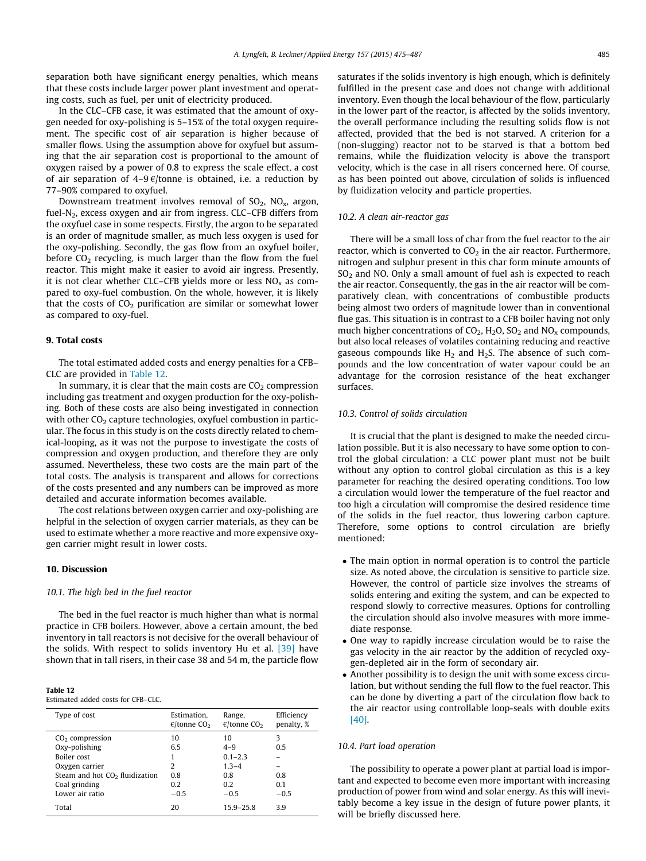separation both have significant energy penalties, which means that these costs include larger power plant investment and operating costs, such as fuel, per unit of electricity produced.

In the CLC–CFB case, it was estimated that the amount of oxygen needed for oxy-polishing is 5–15% of the total oxygen requirement. The specific cost of air separation is higher because of smaller flows. Using the assumption above for oxyfuel but assuming that the air separation cost is proportional to the amount of oxygen raised by a power of 0.8 to express the scale effect, a cost of air separation of  $4-9 \epsilon$ /tonne is obtained, i.e. a reduction by 77–90% compared to oxyfuel.

Downstream treatment involves removal of  $SO_2$ ,  $NO_x$ , argon, fuel-N2, excess oxygen and air from ingress. CLC–CFB differs from the oxyfuel case in some respects. Firstly, the argon to be separated is an order of magnitude smaller, as much less oxygen is used for the oxy-polishing. Secondly, the gas flow from an oxyfuel boiler, before  $CO<sub>2</sub>$  recycling, is much larger than the flow from the fuel reactor. This might make it easier to avoid air ingress. Presently, it is not clear whether CLC–CFB yields more or less  $NO<sub>x</sub>$  as compared to oxy-fuel combustion. On the whole, however, it is likely that the costs of  $CO<sub>2</sub>$  purification are similar or somewhat lower as compared to oxy-fuel.

## 9. Total costs

The total estimated added costs and energy penalties for a CFB– CLC are provided in Table 12.

In summary, it is clear that the main costs are  $CO<sub>2</sub>$  compression including gas treatment and oxygen production for the oxy-polishing. Both of these costs are also being investigated in connection with other  $CO<sub>2</sub>$  capture technologies, oxyfuel combustion in particular. The focus in this study is on the costs directly related to chemical-looping, as it was not the purpose to investigate the costs of compression and oxygen production, and therefore they are only assumed. Nevertheless, these two costs are the main part of the total costs. The analysis is transparent and allows for corrections of the costs presented and any numbers can be improved as more detailed and accurate information becomes available.

The cost relations between oxygen carrier and oxy-polishing are helpful in the selection of oxygen carrier materials, as they can be used to estimate whether a more reactive and more expensive oxygen carrier might result in lower costs.

#### 10. Discussion

## 10.1. The high bed in the fuel reactor

The bed in the fuel reactor is much higher than what is normal practice in CFB boilers. However, above a certain amount, the bed inventory in tall reactors is not decisive for the overall behaviour of the solids. With respect to solids inventory Hu et al. [\[39\]](#page-12-0) have shown that in tall risers, in their case 38 and 54 m, the particle flow

#### Table 12

Estimated added costs for CFB–CLC.

| Type of cost                     | Estimation.<br>$\epsilon$ /tonne CO <sub>2</sub> | Range,<br>$\epsilon$ /tonne CO <sub>2</sub> | Efficiency<br>penalty, % |
|----------------------------------|--------------------------------------------------|---------------------------------------------|--------------------------|
| $CO2$ compression                | 10                                               | 10                                          | 3                        |
| Oxy-polishing                    | 6.5                                              | $4 - 9$                                     | 0.5                      |
| Boiler cost                      |                                                  | $0.1 - 2.3$                                 |                          |
| Oxygen carrier                   | 2                                                | $1.3 - 4$                                   |                          |
| Steam and hot $CO2$ fluidization | 0.8                                              | 0.8                                         | 0.8                      |
| Coal grinding                    | 0.2                                              | 02                                          | 0.1                      |
| Lower air ratio                  | $-0.5$                                           | $-0.5$                                      | $-0.5$                   |
| Total                            | 20                                               | $15.9 - 25.8$                               | 3.9                      |

saturates if the solids inventory is high enough, which is definitely fulfilled in the present case and does not change with additional inventory. Even though the local behaviour of the flow, particularly in the lower part of the reactor, is affected by the solids inventory, the overall performance including the resulting solids flow is not affected, provided that the bed is not starved. A criterion for a (non-slugging) reactor not to be starved is that a bottom bed remains, while the fluidization velocity is above the transport velocity, which is the case in all risers concerned here. Of course, as has been pointed out above, circulation of solids is influenced by fluidization velocity and particle properties.

## 10.2. A clean air-reactor gas

There will be a small loss of char from the fuel reactor to the air reactor, which is converted to  $CO<sub>2</sub>$  in the air reactor. Furthermore, nitrogen and sulphur present in this char form minute amounts of  $SO<sub>2</sub>$  and NO. Only a small amount of fuel ash is expected to reach the air reactor. Consequently, the gas in the air reactor will be comparatively clean, with concentrations of combustible products being almost two orders of magnitude lower than in conventional flue gas. This situation is in contrast to a CFB boiler having not only much higher concentrations of  $CO_2$ ,  $H_2O$ ,  $SO_2$  and  $NO_x$  compounds, but also local releases of volatiles containing reducing and reactive gaseous compounds like  $H_2$  and  $H_2S$ . The absence of such compounds and the low concentration of water vapour could be an advantage for the corrosion resistance of the heat exchanger surfaces.

## 10.3. Control of solids circulation

It is crucial that the plant is designed to make the needed circulation possible. But it is also necessary to have some option to control the global circulation: a CLC power plant must not be built without any option to control global circulation as this is a key parameter for reaching the desired operating conditions. Too low a circulation would lower the temperature of the fuel reactor and too high a circulation will compromise the desired residence time of the solids in the fuel reactor, thus lowering carbon capture. Therefore, some options to control circulation are briefly mentioned:

- The main option in normal operation is to control the particle size. As noted above, the circulation is sensitive to particle size. However, the control of particle size involves the streams of solids entering and exiting the system, and can be expected to respond slowly to corrective measures. Options for controlling the circulation should also involve measures with more immediate response.
- One way to rapidly increase circulation would be to raise the gas velocity in the air reactor by the addition of recycled oxygen-depleted air in the form of secondary air.
- Another possibility is to design the unit with some excess circulation, but without sending the full flow to the fuel reactor. This can be done by diverting a part of the circulation flow back to the air reactor using controllable loop-seals with double exits [\[40\]](#page-12-0).

#### 10.4. Part load operation

The possibility to operate a power plant at partial load is important and expected to become even more important with increasing production of power from wind and solar energy. As this will inevitably become a key issue in the design of future power plants, it will be briefly discussed here.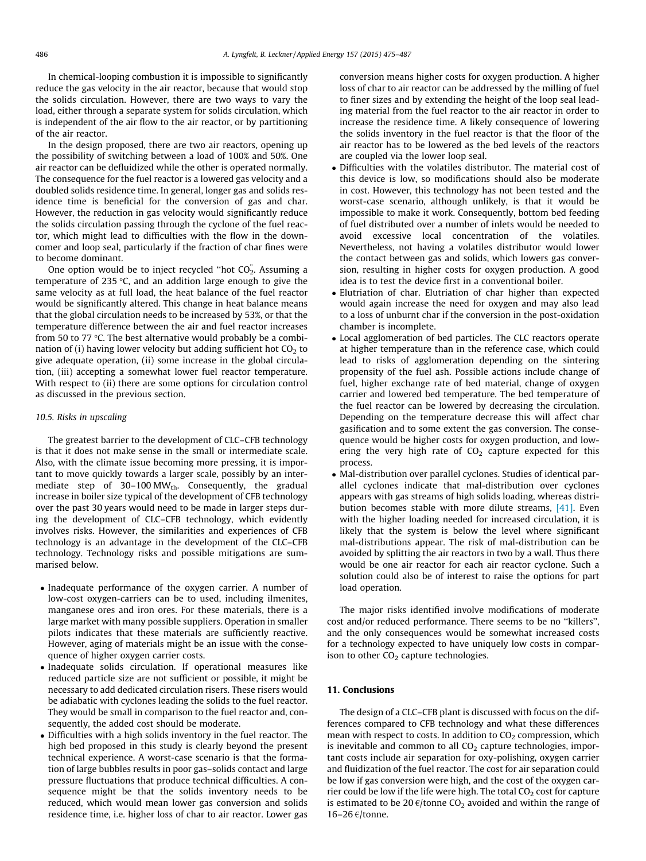In chemical-looping combustion it is impossible to significantly reduce the gas velocity in the air reactor, because that would stop the solids circulation. However, there are two ways to vary the load, either through a separate system for solids circulation, which is independent of the air flow to the air reactor, or by partitioning of the air reactor.

In the design proposed, there are two air reactors, opening up the possibility of switching between a load of 100% and 50%. One air reactor can be defluidized while the other is operated normally. The consequence for the fuel reactor is a lowered gas velocity and a doubled solids residence time. In general, longer gas and solids residence time is beneficial for the conversion of gas and char. However, the reduction in gas velocity would significantly reduce the solids circulation passing through the cyclone of the fuel reactor, which might lead to difficulties with the flow in the downcomer and loop seal, particularly if the fraction of char fines were to become dominant.

One option would be to inject recycled "hot  $CO_2^{\sim}$ . Assuming a temperature of 235  $\degree$ C, and an addition large enough to give the same velocity as at full load, the heat balance of the fuel reactor would be significantly altered. This change in heat balance means that the global circulation needs to be increased by 53%, or that the temperature difference between the air and fuel reactor increases from 50 to 77  $\degree$ C. The best alternative would probably be a combination of (i) having lower velocity but adding sufficient hot  $CO<sub>2</sub>$  to give adequate operation, (ii) some increase in the global circulation, (iii) accepting a somewhat lower fuel reactor temperature. With respect to (ii) there are some options for circulation control as discussed in the previous section.

#### 10.5. Risks in upscaling

The greatest barrier to the development of CLC–CFB technology is that it does not make sense in the small or intermediate scale. Also, with the climate issue becoming more pressing, it is important to move quickly towards a larger scale, possibly by an intermediate step of  $30-100$  MW<sub>th</sub>. Consequently, the gradual increase in boiler size typical of the development of CFB technology over the past 30 years would need to be made in larger steps during the development of CLC–CFB technology, which evidently involves risks. However, the similarities and experiences of CFB technology is an advantage in the development of the CLC–CFB technology. Technology risks and possible mitigations are summarised below.

- Inadequate performance of the oxygen carrier. A number of low-cost oxygen-carriers can be to used, including ilmenites, manganese ores and iron ores. For these materials, there is a large market with many possible suppliers. Operation in smaller pilots indicates that these materials are sufficiently reactive. However, aging of materials might be an issue with the consequence of higher oxygen carrier costs.
- Inadequate solids circulation. If operational measures like reduced particle size are not sufficient or possible, it might be necessary to add dedicated circulation risers. These risers would be adiabatic with cyclones leading the solids to the fuel reactor. They would be small in comparison to the fuel reactor and, consequently, the added cost should be moderate.
- Difficulties with a high solids inventory in the fuel reactor. The high bed proposed in this study is clearly beyond the present technical experience. A worst-case scenario is that the formation of large bubbles results in poor gas–solids contact and large pressure fluctuations that produce technical difficulties. A consequence might be that the solids inventory needs to be reduced, which would mean lower gas conversion and solids residence time, i.e. higher loss of char to air reactor. Lower gas

conversion means higher costs for oxygen production. A higher loss of char to air reactor can be addressed by the milling of fuel to finer sizes and by extending the height of the loop seal leading material from the fuel reactor to the air reactor in order to increase the residence time. A likely consequence of lowering the solids inventory in the fuel reactor is that the floor of the air reactor has to be lowered as the bed levels of the reactors are coupled via the lower loop seal.

- Difficulties with the volatiles distributor. The material cost of this device is low, so modifications should also be moderate in cost. However, this technology has not been tested and the worst-case scenario, although unlikely, is that it would be impossible to make it work. Consequently, bottom bed feeding of fuel distributed over a number of inlets would be needed to avoid excessive local concentration of the volatiles. Nevertheless, not having a volatiles distributor would lower the contact between gas and solids, which lowers gas conversion, resulting in higher costs for oxygen production. A good idea is to test the device first in a conventional boiler.
- Elutriation of char. Elutriation of char higher than expected would again increase the need for oxygen and may also lead to a loss of unburnt char if the conversion in the post-oxidation chamber is incomplete.
- Local agglomeration of bed particles. The CLC reactors operate at higher temperature than in the reference case, which could lead to risks of agglomeration depending on the sintering propensity of the fuel ash. Possible actions include change of fuel, higher exchange rate of bed material, change of oxygen carrier and lowered bed temperature. The bed temperature of the fuel reactor can be lowered by decreasing the circulation. Depending on the temperature decrease this will affect char gasification and to some extent the gas conversion. The consequence would be higher costs for oxygen production, and lowering the very high rate of  $CO<sub>2</sub>$  capture expected for this process.
- Mal-distribution over parallel cyclones. Studies of identical parallel cyclones indicate that mal-distribution over cyclones appears with gas streams of high solids loading, whereas distribution becomes stable with more dilute streams, [\[41\]](#page-12-0). Even with the higher loading needed for increased circulation, it is likely that the system is below the level where significant mal-distributions appear. The risk of mal-distribution can be avoided by splitting the air reactors in two by a wall. Thus there would be one air reactor for each air reactor cyclone. Such a solution could also be of interest to raise the options for part load operation.

The major risks identified involve modifications of moderate cost and/or reduced performance. There seems to be no ''killers'', and the only consequences would be somewhat increased costs for a technology expected to have uniquely low costs in comparison to other  $CO<sub>2</sub>$  capture technologies.

## 11. Conclusions

The design of a CLC–CFB plant is discussed with focus on the differences compared to CFB technology and what these differences mean with respect to costs. In addition to  $CO<sub>2</sub>$  compression, which is inevitable and common to all  $CO<sub>2</sub>$  capture technologies, important costs include air separation for oxy-polishing, oxygen carrier and fluidization of the fuel reactor. The cost for air separation could be low if gas conversion were high, and the cost of the oxygen carrier could be low if the life were high. The total  $CO<sub>2</sub>$  cost for capture is estimated to be 20  $\epsilon$ /tonne CO<sub>2</sub> avoided and within the range of 16–26  $€/$ tonne.